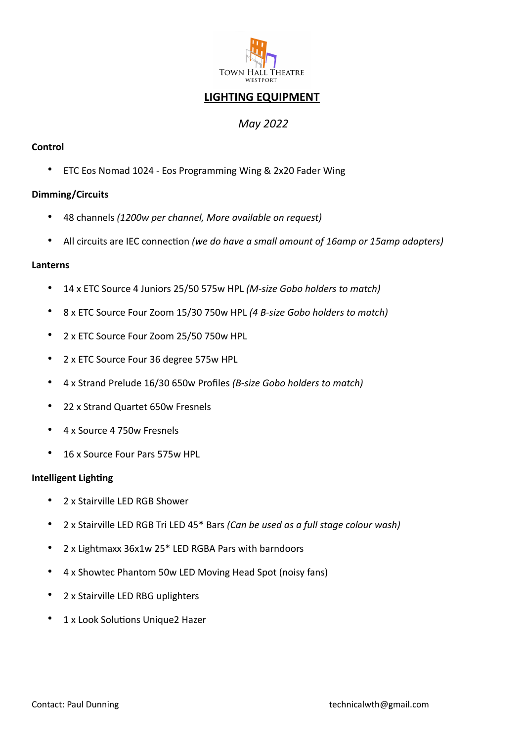

# **LIGHTING EQUIPMENT**

## *May 2022*

## **Control**

• ETC Eos Nomad 1024 - Eos Programming Wing & 2x20 Fader Wing

## **Dimming/Circuits**

- 48 channels *(1200w per channel, More available on request)*
- All circuits are IEC connection *(we do have a small amount of 16amp or 15amp adapters)*

#### **Lanterns**

- 14 x ETC Source 4 Juniors 25/50 575w HPL *(M-size Gobo holders to match)*
- 8 x ETC Source Four Zoom 15/30 750w HPL *(4 B-size Gobo holders to match)*
- 2 x ETC Source Four Zoom 25/50 750w HPL
- 2 x ETC Source Four 36 degree 575w HPL
- 4 x Strand Prelude 16/30 650w Profiles *(B-size Gobo holders to match)*
- 22 x Strand Quartet 650w Fresnels
- 4 x Source 4 750w Fresnels
- 16 x Source Four Pars 575w HPL

#### **Intelligent Lighting**

- 2 x Stairville LED RGB Shower
- 2 x Stairville LED RGB Tri LED 45\* Bars *(Can be used as a full stage colour wash)*
- 2 x Lightmaxx 36x1w 25\* LED RGBA Pars with barndoors
- 4 x Showtec Phantom 50w LED Moving Head Spot (noisy fans)
- 2 x Stairville LED RBG uplighters
- 1 x Look Solutions Unique2 Hazer